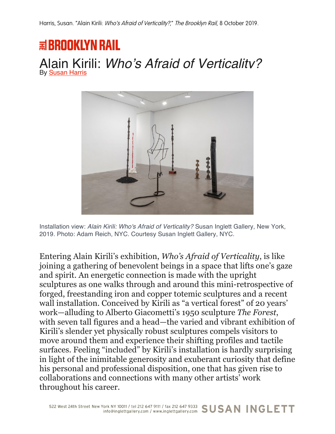## **国BROOKLYN RAIL** Alain Kirili: *Who's Afraid of Verticality?* By Susan Harris



Installation view: *Alain Kirili: Who's Afraid of Verticality?* Susan Inglett Gallery, New York, 2019. Photo: Adam Reich, NYC. Courtesy Susan Inglett Gallery, NYC.

Entering Alain Kirili's exhibition, *Who's Afraid of Verticality*, is like joining a gathering of benevolent beings in a space that lifts one's gaze and spirit. An energetic connection is made with the upright sculptures as one walks through and around this mini-retrospective of forged, freestanding iron and copper totemic sculptures and a recent wall installation. Conceived by Kirili as "a vertical forest" of 20 years' work—alluding to Alberto Giacometti's 1950 sculpture *The Forest*, with seven tall figures and a head—the varied and vibrant exhibition of Kirili's slender yet physically robust sculptures compels visitors to move around them and experience their shifting profiles and tactile surfaces. Feeling "included" by Kirili's installation is hardly surprising in light of the inimitable generosity and exuberant curiosity that define his personal and professional disposition, one that has given rise to collaborations and connections with many other artists' work throughout his career.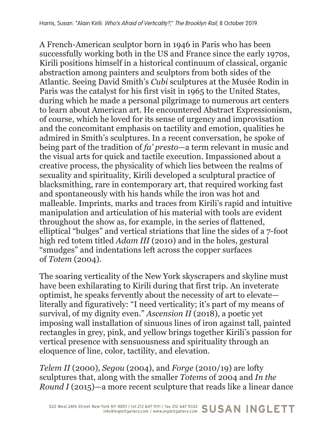A French-American sculptor born in 1946 in Paris who has been successfully working both in the US and France since the early 1970s, Kirili positions himself in a historical continuum of classical, organic abstraction among painters and sculptors from both sides of the Atlantic. Seeing David Smith's *Cubi* sculptures at the Musée Rodin in Paris was the catalyst for his first visit in 1965 to the United States, during which he made a personal pilgrimage to numerous art centers to learn about American art. He encountered Abstract Expressionism, of course, which he loved for its sense of urgency and improvisation and the concomitant emphasis on tactility and emotion, qualities he admired in Smith's sculptures. In a recent conversation, he spoke of being part of the tradition of *fa' presto*—a term relevant in music and the visual arts for quick and tactile execution. Impassioned about a creative process, the physicality of which lies between the realms of sexuality and spirituality, Kirili developed a sculptural practice of blacksmithing, rare in contemporary art, that required working fast and spontaneously with his hands while the iron was hot and malleable. Imprints, marks and traces from Kirili's rapid and intuitive manipulation and articulation of his material with tools are evident throughout the show as, for example, in the series of flattened, elliptical "bulges" and vertical striations that line the sides of a 7-foot high red totem titled *Adam III* (2010) and in the holes, gestural "smudges" and indentations left across the copper surfaces of *Totem* (2004).

The soaring verticality of the New York skyscrapers and skyline must have been exhilarating to Kirili during that first trip. An inveterate optimist, he speaks fervently about the necessity of art to elevate literally and figuratively: "I need verticality; it's part of my means of survival, of my dignity even." *Ascension II* (2018), a poetic yet imposing wall installation of sinuous lines of iron against tall, painted rectangles in grey, pink, and yellow brings together Kirili's passion for vertical presence with sensuousness and spirituality through an eloquence of line, color, tactility, and elevation.

*Telem II* (2000), *Segou* (2004), and *Forge* (2010/19) are lofty sculptures that, along with the smaller *Totems* of 2004 and *In the Round I* (2015)—a more recent sculpture that reads like a linear dance